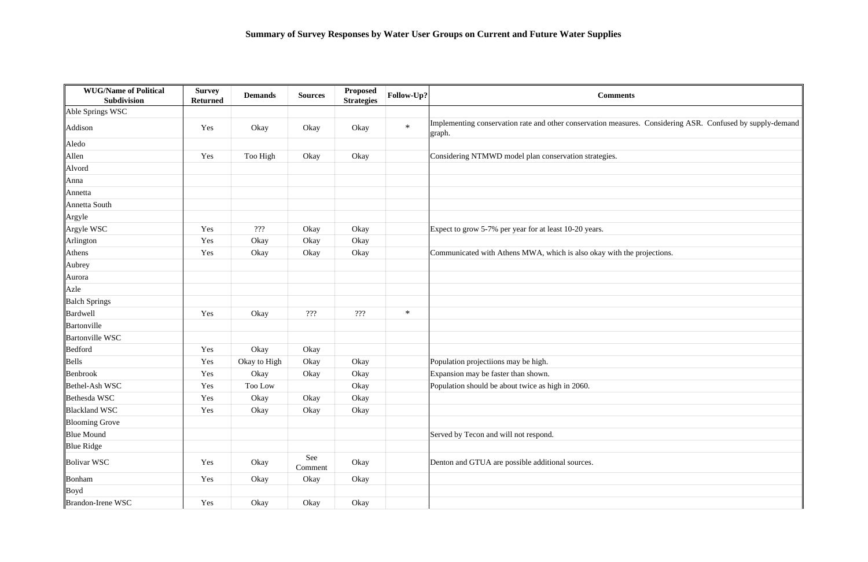| <b>WUG/Name of Political</b><br><b>Subdivision</b> | <b>Survey</b><br><b>Returned</b> | <b>Demands</b> | <b>Sources</b> | <b>Proposed</b><br><b>Strategies</b> | Follow-Up? | <b>Comments</b>                                                                                                      |
|----------------------------------------------------|----------------------------------|----------------|----------------|--------------------------------------|------------|----------------------------------------------------------------------------------------------------------------------|
| Able Springs WSC                                   |                                  |                |                |                                      |            |                                                                                                                      |
| Addison                                            | Yes                              | Okay           | Okay           | Okay                                 | $\ast$     | Implementing conservation rate and other conservation measures. Considering ASR. Confused by supply-demand<br>graph. |
| Aledo                                              |                                  |                |                |                                      |            |                                                                                                                      |
| Allen                                              | Yes                              | Too High       | Okay           | Okay                                 |            | Considering NTMWD model plan conservation strategies.                                                                |
| Alvord                                             |                                  |                |                |                                      |            |                                                                                                                      |
| Anna                                               |                                  |                |                |                                      |            |                                                                                                                      |
| Annetta                                            |                                  |                |                |                                      |            |                                                                                                                      |
| Annetta South                                      |                                  |                |                |                                      |            |                                                                                                                      |
| Argyle                                             |                                  |                |                |                                      |            |                                                                                                                      |
| Argyle WSC                                         | Yes                              | 222            | Okay           | Okay                                 |            | Expect to grow 5-7% per year for at least 10-20 years.                                                               |
| Arlington                                          | Yes                              | Okay           | Okay           | Okay                                 |            |                                                                                                                      |
| Athens                                             | Yes                              | Okay           | Okay           | Okay                                 |            | Communicated with Athens MWA, which is also okay with the projections.                                               |
| Aubrey                                             |                                  |                |                |                                      |            |                                                                                                                      |
| Aurora                                             |                                  |                |                |                                      |            |                                                                                                                      |
| Azle                                               |                                  |                |                |                                      |            |                                                                                                                      |
| <b>Balch Springs</b>                               |                                  |                |                |                                      |            |                                                                                                                      |
| Bardwell                                           | Yes                              | Okay           | 222            | ???                                  | $\ast$     |                                                                                                                      |
| Bartonville                                        |                                  |                |                |                                      |            |                                                                                                                      |
| <b>Bartonville WSC</b>                             |                                  |                |                |                                      |            |                                                                                                                      |
| Bedford                                            | Yes                              | Okay           | Okay           |                                      |            |                                                                                                                      |
| Bells                                              | Yes                              | Okay to High   | Okay           | Okay                                 |            | Population projectiions may be high.                                                                                 |
| Benbrook                                           | Yes                              | Okay           | Okay           | Okay                                 |            | Expansion may be faster than shown.                                                                                  |
| Bethel-Ash WSC                                     | Yes                              | Too Low        |                | Okay                                 |            | Population should be about twice as high in 2060.                                                                    |
| Bethesda WSC                                       | Yes                              | Okay           | Okay           | Okay                                 |            |                                                                                                                      |
| <b>Blackland WSC</b>                               | Yes                              | Okay           | Okay           | Okay                                 |            |                                                                                                                      |
| <b>Blooming Grove</b>                              |                                  |                |                |                                      |            |                                                                                                                      |
| <b>Blue Mound</b>                                  |                                  |                |                |                                      |            | Served by Tecon and will not respond.                                                                                |
| <b>Blue Ridge</b>                                  |                                  |                |                |                                      |            |                                                                                                                      |
| Bolivar WSC                                        | Yes                              | Okay           | See<br>Comment | Okay                                 |            | Denton and GTUA are possible additional sources.                                                                     |
| Bonham                                             | Yes                              | Okay           | Okay           | Okay                                 |            |                                                                                                                      |
| Boyd                                               |                                  |                |                |                                      |            |                                                                                                                      |
| Brandon-Irene WSC                                  | Yes                              | Okay           | Okay           | Okay                                 |            |                                                                                                                      |

|              | . Considering ASR. Confused by supply-demand |
|--------------|----------------------------------------------|
|              |                                              |
|              |                                              |
|              |                                              |
|              |                                              |
|              |                                              |
|              |                                              |
|              |                                              |
|              |                                              |
| projections. |                                              |
|              |                                              |
|              |                                              |
|              |                                              |
|              |                                              |
|              |                                              |
|              |                                              |
|              |                                              |
|              |                                              |
|              |                                              |
|              |                                              |
|              |                                              |
|              |                                              |
|              |                                              |
|              |                                              |
|              |                                              |
|              |                                              |
|              |                                              |
|              |                                              |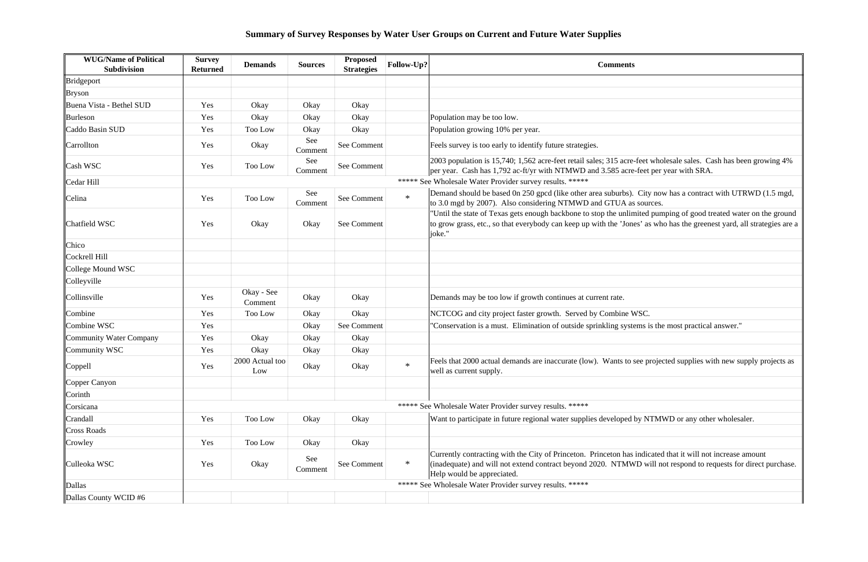| <b>WUG/Name of Political</b><br>Subdivision | <b>Survey</b><br><b>Returned</b> | <b>Demands</b>         | <b>Sources</b> | <b>Proposed</b><br><b>Strategies</b> | Follow-Up? | <b>Comments</b>                                                                                                                                                                                                                                            |
|---------------------------------------------|----------------------------------|------------------------|----------------|--------------------------------------|------------|------------------------------------------------------------------------------------------------------------------------------------------------------------------------------------------------------------------------------------------------------------|
| Bridgeport                                  |                                  |                        |                |                                      |            |                                                                                                                                                                                                                                                            |
| <b>Bryson</b>                               |                                  |                        |                |                                      |            |                                                                                                                                                                                                                                                            |
| Buena Vista - Bethel SUD                    | Yes                              | Okay                   | Okay           | Okay                                 |            |                                                                                                                                                                                                                                                            |
| Burleson                                    | Yes                              | Okay                   | Okay           | Okay                                 |            | Population may be too low.                                                                                                                                                                                                                                 |
| Caddo Basin SUD                             | Yes                              | Too Low                | Okay           | Okay                                 |            | Population growing 10% per year.                                                                                                                                                                                                                           |
| Carrollton                                  | Yes                              | Okay                   | See<br>Comment | See Comment                          |            | Feels survey is too early to identify future strategies.                                                                                                                                                                                                   |
| Cash WSC                                    | Yes                              | Too Low                | See<br>Comment | See Comment                          |            | 2003 population is 15,740; 1,562 acre-feet retail sales; 315 acre-feet wholesale sales. Cash has been growing 4%<br>per year. Cash has 1,792 ac-ft/yr with NTMWD and 3.585 acre-feet per year with SRA.                                                    |
| Cedar Hill                                  |                                  |                        |                |                                      |            | ***** See Wholesale Water Provider survey results. *****                                                                                                                                                                                                   |
| Celina                                      | Yes                              | Too Low                | See<br>Comment | See Comment                          | $\ast$     | Demand should be based 0n 250 gpcd (like other area suburbs). City now has a contract with UTRWD (1.5 mgd,<br>to 3.0 mgd by 2007). Also considering NTMWD and GTUA as sources.                                                                             |
| Chatfield WSC                               | Yes                              | Okay                   | Okay           | See Comment                          |            | 'Until the state of Texas gets enough backbone to stop the unlimited pumping of good treated water on the ground<br>to grow grass, etc., so that everybody can keep up with the 'Jones' as who has the greenest yard, all strategies are a<br>joke."       |
| Chico                                       |                                  |                        |                |                                      |            |                                                                                                                                                                                                                                                            |
| Cockrell Hill                               |                                  |                        |                |                                      |            |                                                                                                                                                                                                                                                            |
| College Mound WSC                           |                                  |                        |                |                                      |            |                                                                                                                                                                                                                                                            |
| Colleyville                                 |                                  |                        |                |                                      |            |                                                                                                                                                                                                                                                            |
| Collinsville                                | Yes                              | Okay - See<br>Comment  | Okay           | Okay                                 |            | Demands may be too low if growth continues at current rate.                                                                                                                                                                                                |
| Combine                                     | Yes                              | Too Low                | Okay           | Okay                                 |            | NCTCOG and city project faster growth. Served by Combine WSC.                                                                                                                                                                                              |
| Combine WSC                                 | Yes                              |                        | Okay           | See Comment                          |            | "Conservation is a must. Elimination of outside sprinkling systems is the most practical answer."                                                                                                                                                          |
| Community Water Company                     | Yes                              | Okay                   | Okay           | Okay                                 |            |                                                                                                                                                                                                                                                            |
| Community WSC                               | Yes                              | Okay                   | Okay           | Okay                                 |            |                                                                                                                                                                                                                                                            |
| Coppell                                     | Yes                              | 2000 Actual too<br>Low | Okay           | Okay                                 | $\ast$     | Feels that 2000 actual demands are inaccurate (low). Wants to see projected supplies with new supply projects as<br>well as current supply.                                                                                                                |
| Copper Canyon                               |                                  |                        |                |                                      |            |                                                                                                                                                                                                                                                            |
| Corinth                                     |                                  |                        |                |                                      |            |                                                                                                                                                                                                                                                            |
| Corsicana                                   |                                  |                        |                |                                      |            | ***** See Wholesale Water Provider survey results. *****                                                                                                                                                                                                   |
| Crandall                                    | Yes                              | Too Low                | Okay           | Okay                                 |            | Want to participate in future regional water supplies developed by NTMWD or any other wholesaler.                                                                                                                                                          |
| <b>Cross Roads</b>                          |                                  |                        |                |                                      |            |                                                                                                                                                                                                                                                            |
| Crowley                                     | Yes                              | Too Low                | Okay           | Okay                                 |            |                                                                                                                                                                                                                                                            |
| Culleoka WSC                                | Yes                              | Okay                   | See<br>Comment | See Comment                          | $\ast$     | Currently contracting with the City of Princeton. Princeton has indicated that it will not increase amount<br>(inadequate) and will not extend contract beyond 2020. NTMWD will not respond to requests for direct purchase.<br>Help would be appreciated. |
| Dallas                                      |                                  |                        |                |                                      |            | ***** See Wholesale Water Provider survey results. *****                                                                                                                                                                                                   |
| Dallas County WCID #6                       |                                  |                        |                |                                      |            |                                                                                                                                                                                                                                                            |

| -feet wholesale sales. Cash has been growing 4%<br>-feet per year with SRA.                                 |
|-------------------------------------------------------------------------------------------------------------|
|                                                                                                             |
| City now has a contract with UTRWD (1.5 mgd,<br>sources.                                                    |
| nited pumping of good treated water on the ground<br>es' as who has the greenest yard, all strategies are a |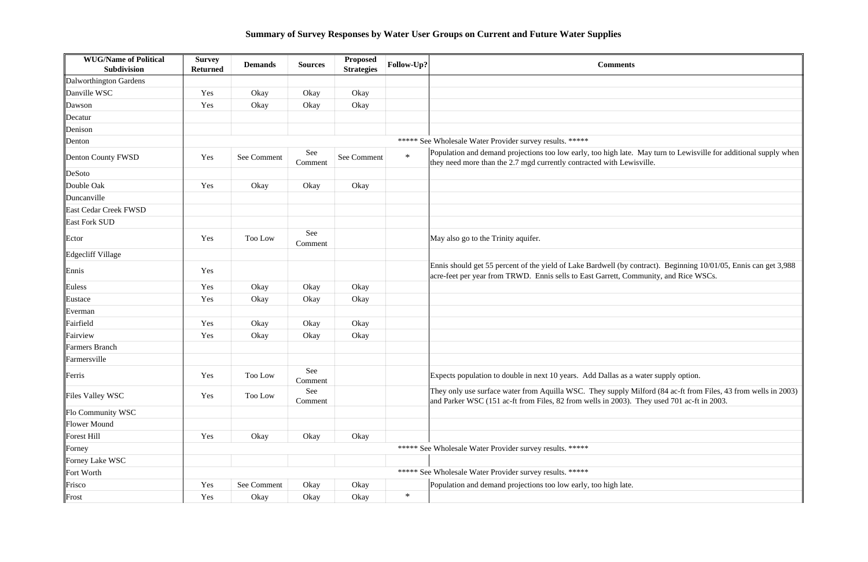| <b>WUG/Name of Political</b><br><b>Subdivision</b> | <b>Survey</b><br><b>Returned</b> | <b>Demands</b> | <b>Sources</b> | Proposed<br><b>Strategies</b> | Follow-Up? | <b>Comments</b>                                                                                                                                        |
|----------------------------------------------------|----------------------------------|----------------|----------------|-------------------------------|------------|--------------------------------------------------------------------------------------------------------------------------------------------------------|
| Dalworthington Gardens                             |                                  |                |                |                               |            |                                                                                                                                                        |
| Danville WSC                                       | Yes                              | Okay           | Okay           | Okay                          |            |                                                                                                                                                        |
| Dawson                                             | Yes                              | Okay           | Okay           | Okay                          |            |                                                                                                                                                        |
| Decatur                                            |                                  |                |                |                               |            |                                                                                                                                                        |
| Denison                                            |                                  |                |                |                               |            |                                                                                                                                                        |
| Denton                                             |                                  |                |                |                               |            | ***** See Wholesale Water Provider survey results. *****                                                                                               |
| Denton County FWSD                                 | Yes                              | See Comment    | See<br>Comment | See Comment                   | $\ast$     | Population and demand projections too low early, too high late. May turn<br>they need more than the 2.7 mgd currently contracted with Lewisville.      |
| DeSoto                                             |                                  |                |                |                               |            |                                                                                                                                                        |
| Double Oak                                         | Yes                              | Okay           | Okay           | Okay                          |            |                                                                                                                                                        |
| Duncanville                                        |                                  |                |                |                               |            |                                                                                                                                                        |
| East Cedar Creek FWSD                              |                                  |                |                |                               |            |                                                                                                                                                        |
| <b>East Fork SUD</b>                               |                                  |                |                |                               |            |                                                                                                                                                        |
| Ector                                              | Yes                              | Too Low        | See<br>Comment |                               |            | May also go to the Trinity aquifer.                                                                                                                    |
| Edgecliff Village                                  |                                  |                |                |                               |            |                                                                                                                                                        |
| Ennis                                              | Yes                              |                |                |                               |            | Ennis should get 55 percent of the yield of Lake Bardwell (by contract). B<br>acre-feet per year from TRWD. Ennis sells to East Garrett, Community, an |
| Euless                                             | Yes                              | Okay           | Okay           | Okay                          |            |                                                                                                                                                        |
| Eustace                                            | Yes                              | Okay           | Okay           | Okay                          |            |                                                                                                                                                        |
| Everman                                            |                                  |                |                |                               |            |                                                                                                                                                        |
| Fairfield                                          | Yes                              | Okay           | Okay           | Okay                          |            |                                                                                                                                                        |
| Fairview                                           | Yes                              | Okay           | Okay           | Okay                          |            |                                                                                                                                                        |
| Farmers Branch                                     |                                  |                |                |                               |            |                                                                                                                                                        |
| Farmersville                                       |                                  |                |                |                               |            |                                                                                                                                                        |
| Ferris                                             | Yes                              | Too Low        | See<br>Comment |                               |            | Expects population to double in next 10 years. Add Dallas as a water supp                                                                              |
| Files Valley WSC                                   | Yes                              | Too Low        | See<br>Comment |                               |            | They only use surface water from Aquilla WSC. They supply Milford (84<br>and Parker WSC (151 ac-ft from Files, 82 from wells in 2003). They used       |
| Flo Community WSC                                  |                                  |                |                |                               |            |                                                                                                                                                        |
| Flower Mound                                       |                                  |                |                |                               |            |                                                                                                                                                        |
| Forest Hill                                        | Yes                              | Okay           | Okay           | Okay                          |            |                                                                                                                                                        |
| Forney                                             |                                  |                |                |                               |            | ***** See Wholesale Water Provider survey results. *****                                                                                               |
| Forney Lake WSC                                    |                                  |                |                |                               |            |                                                                                                                                                        |
| Fort Worth                                         |                                  |                |                |                               |            | ***** See Wholesale Water Provider survey results. *****                                                                                               |
| Frisco                                             | Yes                              | See Comment    | Okay           | Okay                          |            | Population and demand projections too low early, too high late.                                                                                        |
| Frost                                              | Yes                              | Okay           | Okay           | Okay                          | $\ast$     |                                                                                                                                                        |
|                                                    |                                  |                |                |                               |            |                                                                                                                                                        |

May turn to Lewisville for additional supply when<br>isville.

ent of the Seperat of the 10/01/05, Ennis can get 3,988 and Deginning 10/01/05, Ennis can get 3,988 and Trupper per year from Trupper Sepet 3,988 and  $R$  ice WSCs.

water supply option.

Milford (84 ac-ft from Files, 43 from wells in 2003)<br>They used 701 ac-ft in 2003.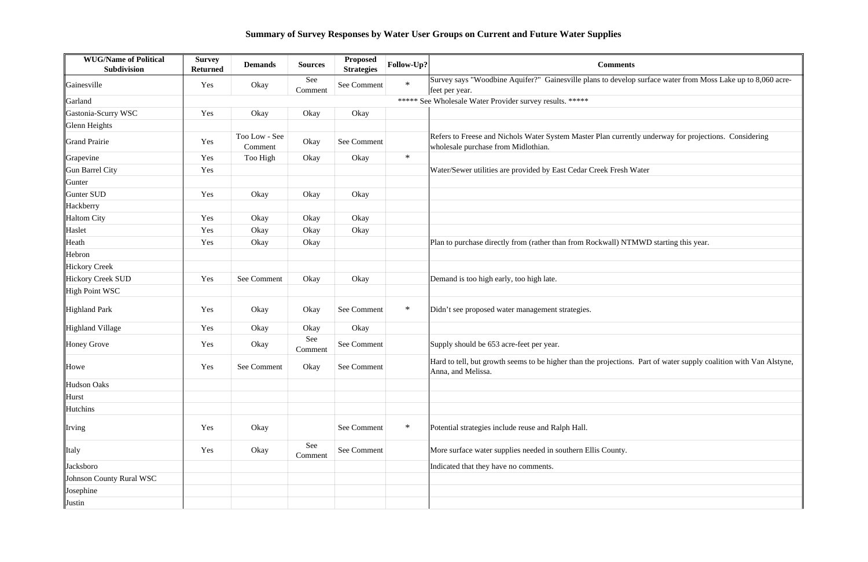| <b>WUG/Name of Political</b><br><b>Subdivision</b> | <b>Survey</b><br><b>Returned</b> | <b>Demands</b>           | <b>Sources</b> | <b>Proposed</b><br><b>Strategies</b> | Follow-Up? | <b>Comments</b>                                                                                                |
|----------------------------------------------------|----------------------------------|--------------------------|----------------|--------------------------------------|------------|----------------------------------------------------------------------------------------------------------------|
| Gainesville                                        | Yes                              | Okay                     | See<br>Comment | See Comment                          | $\ast$     | Survey says "Woodbine Aquifer?" Gainesville plans to develop surface wa<br>feet per year.                      |
| Garland                                            |                                  |                          |                |                                      |            | ***** See Wholesale Water Provider survey results. *****                                                       |
| Gastonia-Scurry WSC                                | Yes                              | Okay                     | Okay           | Okay                                 |            |                                                                                                                |
| Glenn Heights                                      |                                  |                          |                |                                      |            |                                                                                                                |
| Grand Prairie                                      | Yes                              | Too Low - See<br>Comment | Okay           | See Comment                          |            | Refers to Freese and Nichols Water System Master Plan currently underwa<br>wholesale purchase from Midlothian. |
| Grapevine                                          | Yes                              | Too High                 | Okay           | Okay                                 | $\ast$     |                                                                                                                |
| Gun Barrel City                                    | Yes                              |                          |                |                                      |            | Water/Sewer utilities are provided by East Cedar Creek Fresh Water                                             |
| Gunter                                             |                                  |                          |                |                                      |            |                                                                                                                |
| Gunter SUD                                         | Yes                              | Okay                     | Okay           | Okay                                 |            |                                                                                                                |
| Hackberry                                          |                                  |                          |                |                                      |            |                                                                                                                |
| <b>Haltom City</b>                                 | Yes                              | Okay                     | Okay           | Okay                                 |            |                                                                                                                |
| Haslet                                             | Yes                              | Okay                     | Okay           | Okay                                 |            |                                                                                                                |
| Heath                                              | Yes                              | Okay                     | Okay           |                                      |            | Plan to purchase directly from (rather than from Rockwall) NTMWD starting                                      |
| Hebron                                             |                                  |                          |                |                                      |            |                                                                                                                |
| <b>Hickory Creek</b>                               |                                  |                          |                |                                      |            |                                                                                                                |
| Hickory Creek SUD                                  | Yes                              | See Comment              | Okay           | Okay                                 |            | Demand is too high early, too high late.                                                                       |
| High Point WSC                                     |                                  |                          |                |                                      |            |                                                                                                                |
| Highland Park                                      | Yes                              | Okay                     | Okay           | See Comment                          | $\ast$     | Didn't see proposed water management strategies.                                                               |
| Highland Village                                   | Yes                              | Okay                     | Okay           | Okay                                 |            |                                                                                                                |
| Honey Grove                                        | Yes                              | Okay                     | See<br>Comment | See Comment                          |            | Supply should be 653 acre-feet per year.                                                                       |
| Howe                                               | Yes                              | See Comment              | Okay           | See Comment                          |            | Hard to tell, but growth seems to be higher than the projections. Part of wa<br>Anna, and Melissa.             |
| Hudson Oaks                                        |                                  |                          |                |                                      |            |                                                                                                                |
| Hurst                                              |                                  |                          |                |                                      |            |                                                                                                                |
| Hutchins                                           |                                  |                          |                |                                      |            |                                                                                                                |
| Irving                                             | Yes                              | Okay                     |                | See Comment                          | $\ast$     | Potential strategies include reuse and Ralph Hall.                                                             |
| Italy                                              | Yes                              | Okay                     | See<br>Comment | See Comment                          |            | More surface water supplies needed in southern Ellis County.                                                   |
| Jacksboro                                          |                                  |                          |                |                                      |            | Indicated that they have no comments.                                                                          |
| Johnson County Rural WSC                           |                                  |                          |                |                                      |            |                                                                                                                |
| Josephine                                          |                                  |                          |                |                                      |            |                                                                                                                |
| Justin                                             |                                  |                          |                |                                      |            |                                                                                                                |

o surface water from Moss Lake up to 8,060 acrerefers the University underway for projections. Considering Heath Year Okar Ting this year. Part of water supply coalition with Van Alstyne,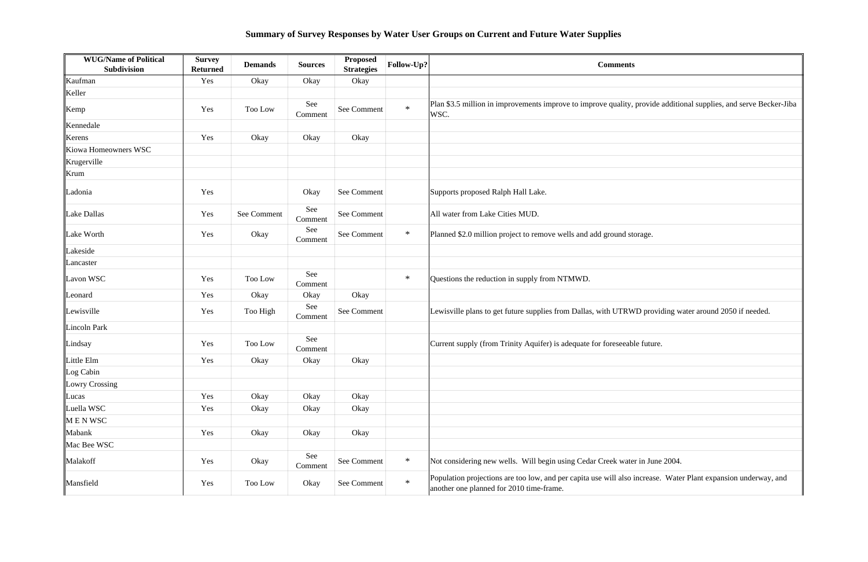| <b>WUG/Name of Political</b><br>Subdivision | <b>Survey</b><br><b>Returned</b> | <b>Demands</b> | <b>Sources</b> | Proposed<br><b>Strategies</b> | Follow-Up? | <b>Comments</b>                                                                                                                                            |
|---------------------------------------------|----------------------------------|----------------|----------------|-------------------------------|------------|------------------------------------------------------------------------------------------------------------------------------------------------------------|
| Kaufman                                     | Yes                              | Okay           | Okay           | Okay                          |            |                                                                                                                                                            |
| Keller                                      |                                  |                |                |                               |            |                                                                                                                                                            |
| Kemp                                        | Yes                              | Too Low        | See<br>Comment | See Comment                   | $\ast$     | Plan \$3.5 million in improvements improve to improve quality, provide additional supplies, and serve Becker-Jiba<br>WSC.                                  |
| Kennedale                                   |                                  |                |                |                               |            |                                                                                                                                                            |
| Kerens                                      | Yes                              | Okay           | Okay           | Okay                          |            |                                                                                                                                                            |
| Kiowa Homeowners WSC                        |                                  |                |                |                               |            |                                                                                                                                                            |
| Krugerville                                 |                                  |                |                |                               |            |                                                                                                                                                            |
| Krum                                        |                                  |                |                |                               |            |                                                                                                                                                            |
| Ladonia                                     | Yes                              |                | Okay           | See Comment                   |            | Supports proposed Ralph Hall Lake.                                                                                                                         |
| Lake Dallas                                 | Yes                              | See Comment    | See<br>Comment | See Comment                   |            | All water from Lake Cities MUD.                                                                                                                            |
| Lake Worth                                  | Yes                              | Okay           | See<br>Comment | See Comment                   | $\ast$     | Planned \$2.0 million project to remove wells and add ground storage.                                                                                      |
| Lakeside                                    |                                  |                |                |                               |            |                                                                                                                                                            |
| Lancaster                                   |                                  |                |                |                               |            |                                                                                                                                                            |
| Lavon WSC                                   | Yes                              | Too Low        | See<br>Comment |                               | $\ast$     | Questions the reduction in supply from NTMWD.                                                                                                              |
| Leonard                                     | Yes                              | Okay           | Okay           | Okay                          |            |                                                                                                                                                            |
| Lewisville                                  | Yes                              | Too High       | See<br>Comment | See Comment                   |            | Lewisville plans to get future supplies from Dallas, with UTRWD providing water around 2050 if needed.                                                     |
| Lincoln Park                                |                                  |                |                |                               |            |                                                                                                                                                            |
| Lindsay                                     | Yes                              | Too Low        | See<br>Comment |                               |            | Current supply (from Trinity Aquifer) is adequate for foreseeable future.                                                                                  |
| Little Elm                                  | Yes                              | Okay           | Okay           | Okay                          |            |                                                                                                                                                            |
| Log Cabin                                   |                                  |                |                |                               |            |                                                                                                                                                            |
| Lowry Crossing                              |                                  |                |                |                               |            |                                                                                                                                                            |
| Lucas                                       | Yes                              | Okay           | Okay           | Okay                          |            |                                                                                                                                                            |
| Luella WSC                                  | Yes                              | Okay           | Okay           | Okay                          |            |                                                                                                                                                            |
| MENWSC                                      |                                  |                |                |                               |            |                                                                                                                                                            |
| Mabank                                      | Yes                              | Okay           | Okay           | Okay                          |            |                                                                                                                                                            |
| Mac Bee WSC                                 |                                  |                |                |                               |            |                                                                                                                                                            |
| Malakoff                                    | Yes                              | Okay           | See<br>Comment | See Comment                   | $\ast$     | Not considering new wells. Will begin using Cedar Creek water in June 2004.                                                                                |
| Mansfield                                   | Yes                              | Too Low        | Okay           | See Comment                   | $\ast$     | Population projections are too low, and per capita use will also increase. Water Plant expansion underway, and<br>another one planned for 2010 time-frame. |

| Š                                                  |
|----------------------------------------------------|
|                                                    |
|                                                    |
| provide additional supplies, and serve Becker-Jiba |
|                                                    |
|                                                    |
|                                                    |
|                                                    |
|                                                    |
|                                                    |
|                                                    |
| orage.                                             |
|                                                    |
|                                                    |
|                                                    |
|                                                    |
| VD providing water around 2050 if needed.          |
|                                                    |
| le future.                                         |
|                                                    |
|                                                    |
|                                                    |
|                                                    |
|                                                    |
|                                                    |
|                                                    |
| er in June 2004.                                   |
| increase. Water Plant expansion underway, and      |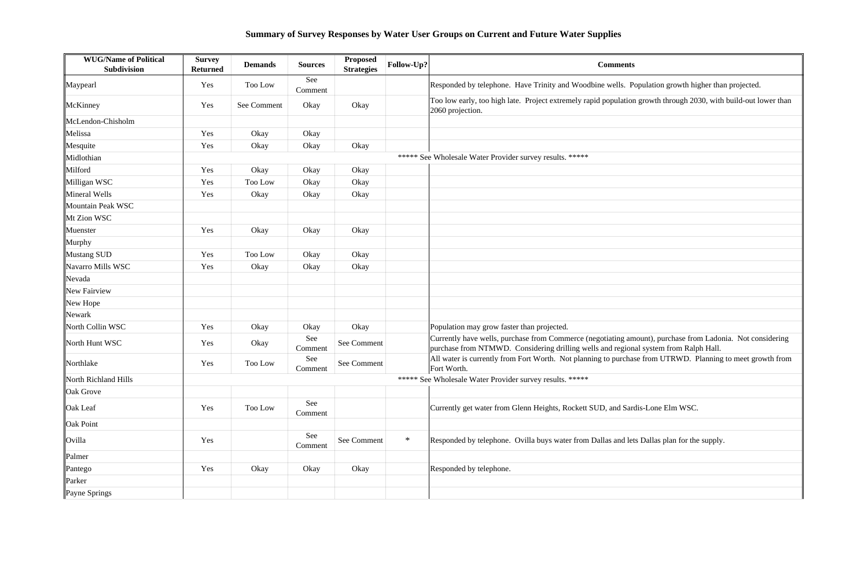| <b>WUG/Name of Political</b><br>Subdivision | <b>Survey</b><br><b>Returned</b> | <b>Demands</b> | <b>Sources</b> | <b>Proposed</b><br><b>Strategies</b> | Follow-Up? | <b>Comments</b>                                                                                                                                                                                   |
|---------------------------------------------|----------------------------------|----------------|----------------|--------------------------------------|------------|---------------------------------------------------------------------------------------------------------------------------------------------------------------------------------------------------|
| Maypearl                                    | Yes                              | Too Low        | See<br>Comment |                                      |            | Responded by telephone. Have Trinity and Woodbine wells. Population growth higher than projected.                                                                                                 |
| McKinney                                    | Yes                              | See Comment    | Okay           | Okay                                 |            | Too low early, too high late. Project extremely rapid population growth through 2030, with build-out lower than<br>2060 projection.                                                               |
| McLendon-Chisholm                           |                                  |                |                |                                      |            |                                                                                                                                                                                                   |
| Melissa                                     | Yes                              | Okay           | Okay           |                                      |            |                                                                                                                                                                                                   |
| Mesquite                                    | Yes                              | Okay           | Okay           | Okay                                 |            |                                                                                                                                                                                                   |
| Midlothian                                  |                                  |                |                |                                      |            | ***** See Wholesale Water Provider survey results. *****                                                                                                                                          |
| Milford                                     | Yes                              | Okay           | Okay           | Okay                                 |            |                                                                                                                                                                                                   |
| Milligan WSC                                | Yes                              | Too Low        | Okay           | Okay                                 |            |                                                                                                                                                                                                   |
| Mineral Wells                               | Yes                              | Okay           | Okay           | Okay                                 |            |                                                                                                                                                                                                   |
| Mountain Peak WSC                           |                                  |                |                |                                      |            |                                                                                                                                                                                                   |
| Mt Zion WSC                                 |                                  |                |                |                                      |            |                                                                                                                                                                                                   |
| Muenster                                    | Yes                              | Okay           | Okay           | Okay                                 |            |                                                                                                                                                                                                   |
| Murphy                                      |                                  |                |                |                                      |            |                                                                                                                                                                                                   |
| Mustang SUD                                 | Yes                              | Too Low        | Okay           | Okay                                 |            |                                                                                                                                                                                                   |
| Navarro Mills WSC                           | Yes                              | Okay           | Okay           | Okay                                 |            |                                                                                                                                                                                                   |
| Nevada                                      |                                  |                |                |                                      |            |                                                                                                                                                                                                   |
| New Fairview                                |                                  |                |                |                                      |            |                                                                                                                                                                                                   |
| New Hope                                    |                                  |                |                |                                      |            |                                                                                                                                                                                                   |
| Newark                                      |                                  |                |                |                                      |            |                                                                                                                                                                                                   |
| North Collin WSC                            | Yes                              | Okay           | Okay           | Okay                                 |            | Population may grow faster than projected.                                                                                                                                                        |
| North Hunt WSC                              | Yes                              | Okay           | See<br>Comment | See Comment                          |            | Currently have wells, purchase from Commerce (negotiating amount), purchase from Ladonia. Not considering<br>purchase from NTMWD. Considering drilling wells and regional system from Ralph Hall. |
| Northlake                                   | Yes                              | Too Low        | See<br>Comment | See Comment                          |            | All water is currently from Fort Worth. Not planning to purchase from UTRWD. Planning to meet growth from<br>Fort Worth.                                                                          |
| North Richland Hills                        |                                  |                |                |                                      |            | ***** See Wholesale Water Provider survey results. *****                                                                                                                                          |
| Oak Grove                                   |                                  |                |                |                                      |            |                                                                                                                                                                                                   |
| Oak Leaf                                    | Yes                              | Too Low        | See<br>Comment |                                      |            | Currently get water from Glenn Heights, Rockett SUD, and Sardis-Lone Elm WSC.                                                                                                                     |
| Oak Point                                   |                                  |                |                |                                      |            |                                                                                                                                                                                                   |
| Ovilla                                      | Yes                              |                | See<br>Comment | See Comment                          | $\ast$     | Responded by telephone. Ovilla buys water from Dallas and lets Dallas plan for the supply.                                                                                                        |
| Palmer                                      |                                  |                |                |                                      |            |                                                                                                                                                                                                   |
| Pantego                                     | Yes                              | Okay           | Okay           | Okay                                 |            | Responded by telephone.                                                                                                                                                                           |
| Parker                                      |                                  |                |                |                                      |            |                                                                                                                                                                                                   |
| Payne Springs                               |                                  |                |                |                                      |            |                                                                                                                                                                                                   |

| pulation growth higher than projected.                                     |  |  |  |  |  |
|----------------------------------------------------------------------------|--|--|--|--|--|
| growth through 2030, with build-out lower than                             |  |  |  |  |  |
|                                                                            |  |  |  |  |  |
|                                                                            |  |  |  |  |  |
|                                                                            |  |  |  |  |  |
|                                                                            |  |  |  |  |  |
|                                                                            |  |  |  |  |  |
|                                                                            |  |  |  |  |  |
|                                                                            |  |  |  |  |  |
|                                                                            |  |  |  |  |  |
|                                                                            |  |  |  |  |  |
|                                                                            |  |  |  |  |  |
|                                                                            |  |  |  |  |  |
|                                                                            |  |  |  |  |  |
|                                                                            |  |  |  |  |  |
|                                                                            |  |  |  |  |  |
|                                                                            |  |  |  |  |  |
| ount), purchase from Ladonia. Not considering<br>I system from Ralph Hall. |  |  |  |  |  |
| e from UTRWD. Planning to meet growth from                                 |  |  |  |  |  |
|                                                                            |  |  |  |  |  |
|                                                                            |  |  |  |  |  |
| is-Lone Elm WSC.                                                           |  |  |  |  |  |
|                                                                            |  |  |  |  |  |
| Dallas plan for the supply.                                                |  |  |  |  |  |
|                                                                            |  |  |  |  |  |
|                                                                            |  |  |  |  |  |
|                                                                            |  |  |  |  |  |
|                                                                            |  |  |  |  |  |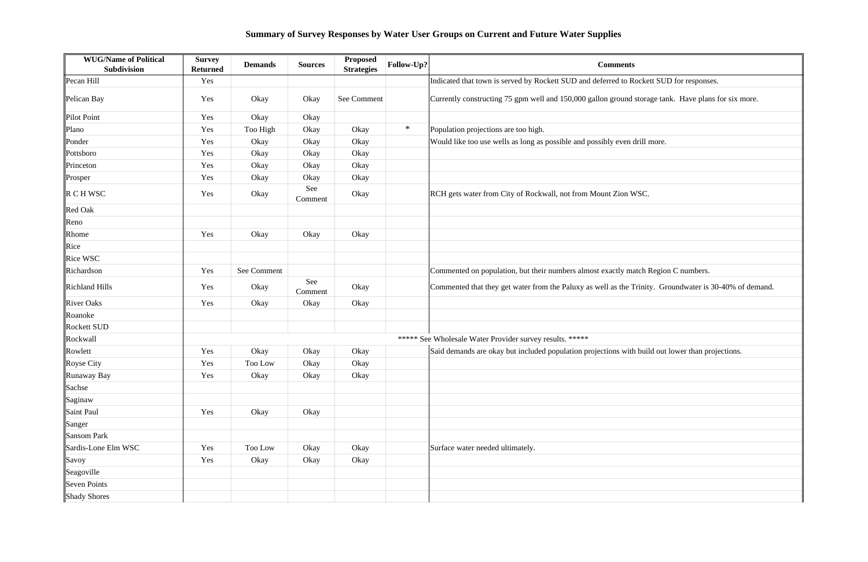| <b>WUG/Name of Political</b><br><b>Subdivision</b> | <b>Survey</b><br><b>Returned</b> | <b>Demands</b> | <b>Sources</b> | <b>Proposed</b><br><b>Strategies</b> | Follow-Up? | <b>Comments</b>                                                            |  |
|----------------------------------------------------|----------------------------------|----------------|----------------|--------------------------------------|------------|----------------------------------------------------------------------------|--|
| Pecan Hill                                         | Yes                              |                |                |                                      |            | Indicated that town is served by Rockett SUD and deferred to Rockett SU    |  |
| Pelican Bay                                        | Yes                              | Okay           | Okay           | See Comment                          |            | Currently constructing 75 gpm well and 150,000 gallon ground storage ta    |  |
| Pilot Point                                        | Yes                              | Okay           | Okay           |                                      |            |                                                                            |  |
| Plano                                              | Yes                              | Too High       | Okay           | Okay                                 | $\ast$     | Population projections are too high.                                       |  |
| Ponder                                             | Yes                              | Okay           | Okay           | Okay                                 |            | Would like too use wells as long as possible and possibly even drill more. |  |
| Pottsboro                                          | Yes                              | Okay           | Okay           | Okay                                 |            |                                                                            |  |
| Princeton                                          | Yes                              | Okay           | Okay           | Okay                                 |            |                                                                            |  |
| Prosper                                            | Yes                              | Okay           | Okay           | Okay                                 |            |                                                                            |  |
| $\ R \cap H$ WSC                                   | Yes                              | Okay           | See<br>Comment | Okay                                 |            | RCH gets water from City of Rockwall, not from Mount Zion WSC.             |  |
| <b>Red Oak</b>                                     |                                  |                |                |                                      |            |                                                                            |  |
| Reno                                               |                                  |                |                |                                      |            |                                                                            |  |
| Rhome                                              | Yes                              | Okay           | Okay           | Okay                                 |            |                                                                            |  |
| Rice                                               |                                  |                |                |                                      |            |                                                                            |  |
| <b>Rice WSC</b>                                    |                                  |                |                |                                      |            |                                                                            |  |
| Richardson                                         | Yes                              | See Comment    |                |                                      |            | Commented on population, but their numbers almost exactly match Regio      |  |
| <b>Richland Hills</b>                              | Yes                              | Okay           | See<br>Comment | Okay                                 |            | Commented that they get water from the Paluxy as well as the Trinity. G    |  |
| <b>River Oaks</b>                                  | Yes                              | Okay           | Okay           | Okay                                 |            |                                                                            |  |
| Roanoke                                            |                                  |                |                |                                      |            |                                                                            |  |
| <b>Rockett SUD</b>                                 |                                  |                |                |                                      |            |                                                                            |  |
| Rockwall                                           |                                  |                |                |                                      |            | ***** See Wholesale Water Provider survey results. *****                   |  |
| Rowlett                                            | Yes                              | Okay           | Okay           | Okay                                 |            | Said demands are okay but included population projections with build out   |  |
| Royse City                                         | Yes                              | Too Low        | Okay           | Okay                                 |            |                                                                            |  |
| Runaway Bay                                        | Yes                              | Okay           | Okay           | Okay                                 |            |                                                                            |  |
| Sachse                                             |                                  |                |                |                                      |            |                                                                            |  |
| Saginaw                                            |                                  |                |                |                                      |            |                                                                            |  |
| Saint Paul                                         | Yes                              | Okay           | Okay           |                                      |            |                                                                            |  |
| Sanger                                             |                                  |                |                |                                      |            |                                                                            |  |
| Sansom Park                                        |                                  |                |                |                                      |            |                                                                            |  |
| Sardis-Lone Elm WSC                                | Yes                              | Too Low        | Okay           | Okay                                 |            | Surface water needed ultimately.                                           |  |
| Savoy                                              | Yes                              | Okay           | Okay           | Okay                                 |            |                                                                            |  |
| Seagoville                                         |                                  |                |                |                                      |            |                                                                            |  |
| <b>Seven Points</b>                                |                                  |                |                |                                      |            |                                                                            |  |
| <b>Shady Shores</b>                                |                                  |                |                |                                      |            |                                                                            |  |

Pecal SUD for responses. storage tank. Have plans for six more. atch Region C numbers. Trinity. Groundwater is 30-40% of demand. It build out lower than projections.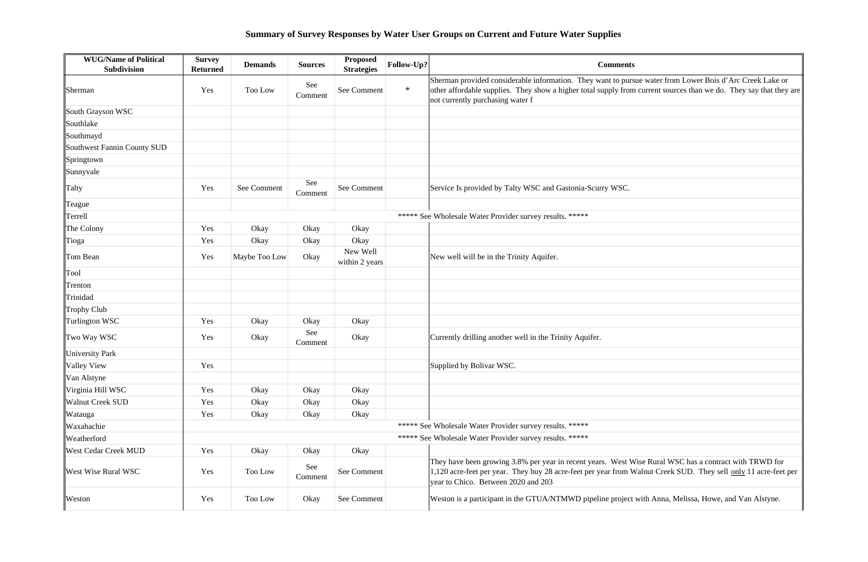| <b>WUG/Name of Political</b><br>Subdivision | <b>Survey</b><br><b>Returned</b> | <b>Demands</b> | <b>Sources</b> | <b>Proposed</b><br><b>Strategies</b> | Follow-Up? | <b>Comments</b>                                                                                                                                                                                                                                                    |
|---------------------------------------------|----------------------------------|----------------|----------------|--------------------------------------|------------|--------------------------------------------------------------------------------------------------------------------------------------------------------------------------------------------------------------------------------------------------------------------|
| Sherman                                     | Yes                              | Too Low        | See<br>Comment | See Comment                          | $\ast$     | Sherman provided considerable information. They want to pursue water from Lower Bois d'Arc Creek Lake or<br>other affordable supplies. They show a higher total supply from current sources than we do. They say that they are<br>not currently purchasing water f |
| South Grayson WSC                           |                                  |                |                |                                      |            |                                                                                                                                                                                                                                                                    |
| Southlake                                   |                                  |                |                |                                      |            |                                                                                                                                                                                                                                                                    |
| Southmayd                                   |                                  |                |                |                                      |            |                                                                                                                                                                                                                                                                    |
| Southwest Fannin County SUD                 |                                  |                |                |                                      |            |                                                                                                                                                                                                                                                                    |
| Springtown                                  |                                  |                |                |                                      |            |                                                                                                                                                                                                                                                                    |
| Sunnyvale                                   |                                  |                |                |                                      |            |                                                                                                                                                                                                                                                                    |
| Talty                                       | Yes                              | See Comment    | See<br>Comment | See Comment                          |            | Service Is provided by Talty WSC and Gastonia-Scurry WSC.                                                                                                                                                                                                          |
| Teague                                      |                                  |                |                |                                      |            |                                                                                                                                                                                                                                                                    |
| Terrell                                     |                                  |                |                |                                      |            | ***** See Wholesale Water Provider survey results. *****                                                                                                                                                                                                           |
| The Colony                                  | Yes                              | Okay           | Okay           | Okay                                 |            |                                                                                                                                                                                                                                                                    |
| Tioga                                       | Yes                              | Okay           | Okay           | Okay                                 |            |                                                                                                                                                                                                                                                                    |
| Tom Bean                                    | Yes                              | Maybe Too Low  | Okay           | New Well<br>within 2 years           |            | New well will be in the Trinity Aquifer.                                                                                                                                                                                                                           |
| Tool                                        |                                  |                |                |                                      |            |                                                                                                                                                                                                                                                                    |
| Trenton                                     |                                  |                |                |                                      |            |                                                                                                                                                                                                                                                                    |
| Trinidad                                    |                                  |                |                |                                      |            |                                                                                                                                                                                                                                                                    |
| Trophy Club                                 |                                  |                |                |                                      |            |                                                                                                                                                                                                                                                                    |
| Turlington WSC                              | Yes                              | Okay           | Okay           | Okay                                 |            |                                                                                                                                                                                                                                                                    |
| Two Way WSC                                 | Yes                              | Okay           | See<br>Comment | Okay                                 |            | Currently drilling another well in the Trinity Aquifer.                                                                                                                                                                                                            |
| University Park                             |                                  |                |                |                                      |            |                                                                                                                                                                                                                                                                    |
| Valley View                                 | Yes                              |                |                |                                      |            | Supplied by Bolivar WSC.                                                                                                                                                                                                                                           |
| Van Alstyne                                 |                                  |                |                |                                      |            |                                                                                                                                                                                                                                                                    |
| Virginia Hill WSC                           | Yes                              | Okay           | Okay           | Okay                                 |            |                                                                                                                                                                                                                                                                    |
| <b>Walnut Creek SUD</b>                     | Yes                              | Okay           | Okay           | Okay                                 |            |                                                                                                                                                                                                                                                                    |
| Watauga                                     | Yes                              | Okay           | Okay           | Okay                                 |            |                                                                                                                                                                                                                                                                    |
| Waxahachie                                  |                                  |                |                |                                      |            | ***** See Wholesale Water Provider survey results. *****                                                                                                                                                                                                           |
| Weatherford                                 |                                  |                |                |                                      |            | ***** See Wholesale Water Provider survey results. *****                                                                                                                                                                                                           |
| <b>West Cedar Creek MUD</b>                 | Yes                              | Okay           | Okay           | Okay                                 |            |                                                                                                                                                                                                                                                                    |
| <b>West Wise Rural WSC</b>                  | Yes                              | Too Low        | See<br>Comment | See Comment                          |            | They have been growing 3.8% per year in recent years. West Wise Rural WSC has a contract with TRWD for<br>1,120 acre-feet per year. They buy 28 acre-feet per year from Walnut Creek SUD. They sell only 11 acre-feet per<br>year to Chico. Between 2020 and 203   |
| Weston                                      | Yes                              | Too Low        | Okay           | See Comment                          |            | Weston is a participant in the GTUA/NTMWD pipeline project with Anna, Melissa, Howe, and Van Alstyne.                                                                                                                                                              |

| ue water from Lower Bois d'Arc Creek Lake or<br>current sources than we do. They say that they are |
|----------------------------------------------------------------------------------------------------|
|                                                                                                    |
|                                                                                                    |
|                                                                                                    |
|                                                                                                    |
|                                                                                                    |
|                                                                                                    |
|                                                                                                    |
|                                                                                                    |
|                                                                                                    |
|                                                                                                    |
|                                                                                                    |
|                                                                                                    |
|                                                                                                    |
|                                                                                                    |
|                                                                                                    |
|                                                                                                    |
|                                                                                                    |
|                                                                                                    |
|                                                                                                    |
|                                                                                                    |
|                                                                                                    |
|                                                                                                    |
|                                                                                                    |
|                                                                                                    |
|                                                                                                    |
|                                                                                                    |
| ise Rural WSC has a contract with TRWD for<br>alnut Creek SUD. They sell only 11 acre-feet per     |
|                                                                                                    |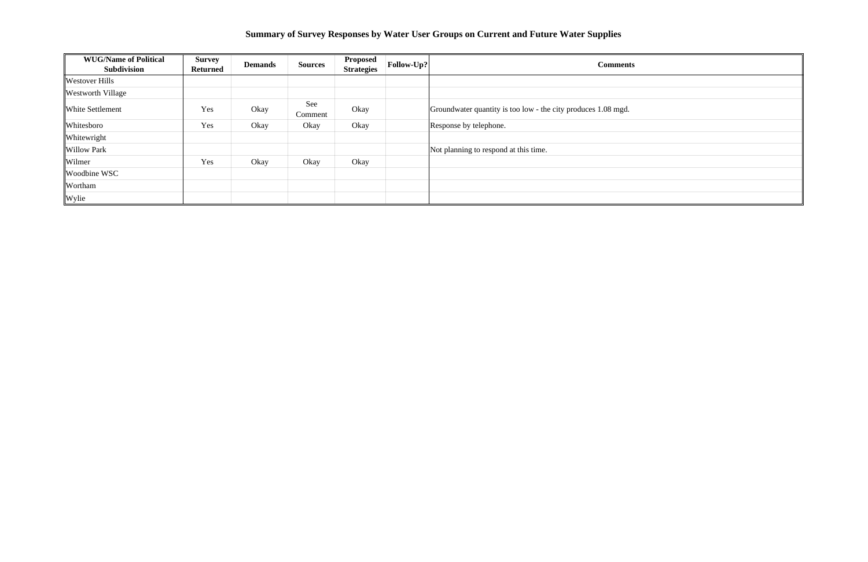| <b>WUG/Name of Political</b><br><b>Subdivision</b> | <b>Survey</b><br><b>Returned</b> | <b>Demands</b> | <b>Sources</b> | <b>Proposed</b><br><b>Strategies</b> | $ $ Follow-Up? $ $ | <b>Comments</b>                                               |  |
|----------------------------------------------------|----------------------------------|----------------|----------------|--------------------------------------|--------------------|---------------------------------------------------------------|--|
| <b>Westover Hills</b>                              |                                  |                |                |                                      |                    |                                                               |  |
| <b>Westworth Village</b>                           |                                  |                |                |                                      |                    |                                                               |  |
| <b>White Settlement</b>                            | Yes                              | Okay           | See<br>Comment | Okay                                 |                    | Groundwater quantity is too low - the city produces 1.08 mgd. |  |
| Whitesboro                                         | Yes                              | Okay           | Okay           | Okay                                 |                    | Response by telephone.                                        |  |
| Whitewright                                        |                                  |                |                |                                      |                    |                                                               |  |
| <b>Willow Park</b>                                 |                                  |                |                |                                      |                    | Not planning to respond at this time.                         |  |
| Wilmer                                             | Yes                              | Okay           | Okay           | Okay                                 |                    |                                                               |  |
| Woodbine WSC                                       |                                  |                |                |                                      |                    |                                                               |  |
| Wortham                                            |                                  |                |                |                                      |                    |                                                               |  |
| Wylie                                              |                                  |                |                |                                      |                    |                                                               |  |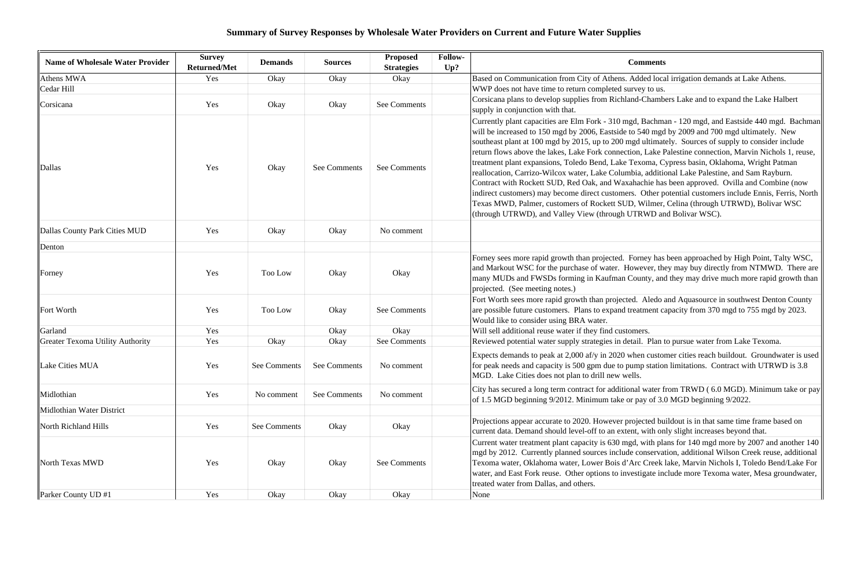### **Summary of Survey Responses by Wholesale Water Providers on Current and Future Water Supplies**

| <b>Name of Wholesale Water Provider</b> | <b>Survey</b><br><b>Returned/Met</b> | <b>Demands</b> | <b>Sources</b> | <b>Proposed</b><br><b>Strategies</b> | Follow-<br>Up? | <b>Comments</b>                                                                                                                                                                                                                                                                                                                                                                                                                                                                                                                                                                                                                                                                                                                                                                                                                                                                                                                                                                             |
|-----------------------------------------|--------------------------------------|----------------|----------------|--------------------------------------|----------------|---------------------------------------------------------------------------------------------------------------------------------------------------------------------------------------------------------------------------------------------------------------------------------------------------------------------------------------------------------------------------------------------------------------------------------------------------------------------------------------------------------------------------------------------------------------------------------------------------------------------------------------------------------------------------------------------------------------------------------------------------------------------------------------------------------------------------------------------------------------------------------------------------------------------------------------------------------------------------------------------|
| Athens MWA                              | Yes                                  | Okay           | Okay           | Okay                                 |                | Based on Communication from City of Athens. Added local irrigation demands at Lake Athens.                                                                                                                                                                                                                                                                                                                                                                                                                                                                                                                                                                                                                                                                                                                                                                                                                                                                                                  |
| Cedar Hill                              |                                      |                |                |                                      |                | WWP does not have time to return completed survey to us.                                                                                                                                                                                                                                                                                                                                                                                                                                                                                                                                                                                                                                                                                                                                                                                                                                                                                                                                    |
| Corsicana                               | Yes                                  | Okay           | Okay           | See Comments                         |                | Corsicana plans to develop supplies from Richland-Chambers Lake and to expand the Lake Halbert<br>supply in conjunction with that.                                                                                                                                                                                                                                                                                                                                                                                                                                                                                                                                                                                                                                                                                                                                                                                                                                                          |
| Dallas                                  | Yes                                  | Okay           | See Comments   | See Comments                         |                | Currently plant capacities are Elm Fork - 310 mgd, Bachman - 120 mgd, and Eastside 440 mgd. Bacl<br>will be increased to 150 mgd by 2006, Eastside to 540 mgd by 2009 and 700 mgd ultimately. New<br>southeast plant at 100 mgd by 2015, up to 200 mgd ultimately. Sources of supply to consider include<br>return flows above the lakes, Lake Fork connection, Lake Palestine connection, Marvin Nichols 1, ret<br>treatment plant expansions, Toledo Bend, Lake Texoma, Cypress basin, Oklahoma, Wright Patman<br>reallocation, Carrizo-Wilcox water, Lake Columbia, additional Lake Palestine, and Sam Rayburn.<br>Contract with Rockett SUD, Red Oak, and Waxahachie has been approved. Ovilla and Combine (nov<br>indirect customers) may become direct customers. Other potential customers include Ennis, Ferris, N<br>Texas MWD, Palmer, customers of Rockett SUD, Wilmer, Celina (through UTRWD), Bolivar WSC<br>(through UTRWD), and Valley View (through UTRWD and Bolivar WSC). |
| Dallas County Park Cities MUD           | Yes                                  | Okay           | Okay           | No comment                           |                |                                                                                                                                                                                                                                                                                                                                                                                                                                                                                                                                                                                                                                                                                                                                                                                                                                                                                                                                                                                             |
| Denton                                  |                                      |                |                |                                      |                |                                                                                                                                                                                                                                                                                                                                                                                                                                                                                                                                                                                                                                                                                                                                                                                                                                                                                                                                                                                             |
| Forney                                  | Yes                                  | Too Low        | Okay           | Okay                                 |                | Forney sees more rapid growth than projected. Forney has been approached by High Point, Talty WS<br>and Markout WSC for the purchase of water. However, they may buy directly from NTMWD. There<br>many MUDs and FWSDs forming in Kaufman County, and they may drive much more rapid growth<br>projected. (See meeting notes.)                                                                                                                                                                                                                                                                                                                                                                                                                                                                                                                                                                                                                                                              |
| Fort Worth                              | Yes                                  | Too Low        | Okay           | See Comments                         |                | Fort Worth sees more rapid growth than projected. Aledo and Aquasource in southwest Denton Cour<br>are possible future customers. Plans to expand treatment capacity from 370 mgd to 755 mgd by 2023<br>Would like to consider using BRA water.                                                                                                                                                                                                                                                                                                                                                                                                                                                                                                                                                                                                                                                                                                                                             |
| Garland                                 | Yes                                  |                | Okay           | Okay                                 |                | Will sell additional reuse water if they find customers.                                                                                                                                                                                                                                                                                                                                                                                                                                                                                                                                                                                                                                                                                                                                                                                                                                                                                                                                    |
| <b>Greater Texoma Utility Authority</b> | Yes                                  | Okay           | Okay           | See Comments                         |                | Reviewed potential water supply strategies in detail. Plan to pursue water from Lake Texoma.                                                                                                                                                                                                                                                                                                                                                                                                                                                                                                                                                                                                                                                                                                                                                                                                                                                                                                |
| Lake Cities MUA                         | Yes                                  | See Comments   | See Comments   | No comment                           |                | Expects demands to peak at 2,000 af/y in 2020 when customer cities reach buildout. Groundwater is<br>for peak needs and capacity is 500 gpm due to pump station limitations. Contract with UTRWD is 3.<br>MGD. Lake Cities does not plan to drill new wells.                                                                                                                                                                                                                                                                                                                                                                                                                                                                                                                                                                                                                                                                                                                                |
| Midlothian                              | Yes                                  | No comment     | See Comments   | No comment                           |                | City has secured a long term contract for additional water from TRWD (6.0 MGD). Minimum take o<br>of 1.5 MGD beginning 9/2012. Minimum take or pay of 3.0 MGD beginning 9/2022.                                                                                                                                                                                                                                                                                                                                                                                                                                                                                                                                                                                                                                                                                                                                                                                                             |
| Midlothian Water District               |                                      |                |                |                                      |                |                                                                                                                                                                                                                                                                                                                                                                                                                                                                                                                                                                                                                                                                                                                                                                                                                                                                                                                                                                                             |
| North Richland Hills                    | Yes                                  | See Comments   | Okay           | Okay                                 |                | Projections appear accurate to 2020. However projected buildout is in that same time frame based on<br>current data. Demand should level-off to an extent, with only slight increases beyond that.                                                                                                                                                                                                                                                                                                                                                                                                                                                                                                                                                                                                                                                                                                                                                                                          |
| North Texas MWD                         | Yes                                  | Okay           | Okay           | See Comments                         |                | Current water treatment plant capacity is 630 mgd, with plans for 140 mgd more by 2007 and another<br>mgd by 2012. Currently planned sources include conservation, additional Wilson Creek reuse, additi<br>Texoma water, Oklahoma water, Lower Bois d'Arc Creek lake, Marvin Nichols I, Toledo Bend/Lake<br>water, and East Fork reuse. Other options to investigate include more Texoma water, Mesa groundwa<br>treated water from Dallas, and others.                                                                                                                                                                                                                                                                                                                                                                                                                                                                                                                                    |
| Parker County UD #1                     | Yes                                  | Okay           | Okay           | Okay                                 |                | None                                                                                                                                                                                                                                                                                                                                                                                                                                                                                                                                                                                                                                                                                                                                                                                                                                                                                                                                                                                        |

L, Bachman - 120 mgd, and Eastside 440 mgd. Bachman 540 mgd by 2009 and 700 mgd ultimately. New d ultimately. Sources of supply to consider include n, Lake Palestine connection, Marvin Nichols 1, reuse, exoma, Cypress basin, Oklahoma, Wright Patman ia, additional Lake Palestine, and Sam Rayburn. achie has been approved. Ovilla and Combine (now Other potential customers include Ennis, Ferris, North Wilmer, Celina (through UTRWD), Bolivar WSC (TRWD and Bolivar WSC).

prney has been approached by High Point, Talty WSC, wever, they may buy directly from NTMWD. There are bunty, and they may drive much more rapid growth than

Aledo and Aquasource in southwest Denton County atment capacity from 370 mgd to 755 mgd by 2023.

en customer cities reach buildout. Groundwater is used mp station limitations. Contract with UTRWD is 3.8

al water from TRWD ( 6.0 MGD). Minimum take or pay pay of 3.0 MGD beginning 9/2022.

with plans for 140 mgd more by 2007 and another 140 conservation, additional Wilson Creek reuse, additional rc Creek lake, Marvin Nichols I, Toledo Bend/Lake For stigate include more Texoma water, Mesa groundwater,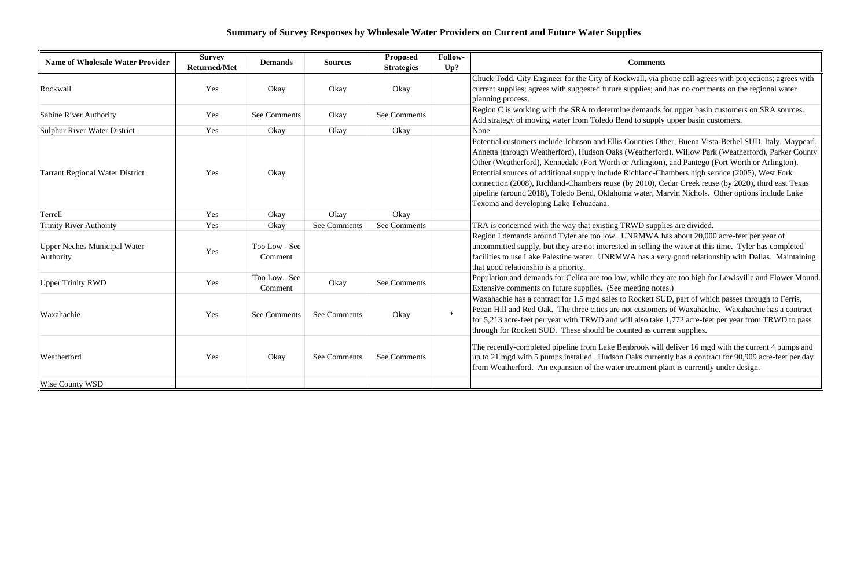### **Summary of Survey Responses by Wholesale Water Providers on Current and Future Water Supplies**

| <b>Name of Wholesale Water Provider</b>   | <b>Survey</b><br><b>Returned/Met</b> | <b>Demands</b>           | <b>Sources</b>      | <b>Proposed</b><br><b>Strategies</b> | Follow-<br>Up? | <b>Comments</b>                                                                                                                                                                                                                                                                                                                                                                                                                                                                                                                                                                                                                                                |
|-------------------------------------------|--------------------------------------|--------------------------|---------------------|--------------------------------------|----------------|----------------------------------------------------------------------------------------------------------------------------------------------------------------------------------------------------------------------------------------------------------------------------------------------------------------------------------------------------------------------------------------------------------------------------------------------------------------------------------------------------------------------------------------------------------------------------------------------------------------------------------------------------------------|
| Rockwall                                  | Yes                                  | Okay                     | Okay                | Okay                                 |                | Chuck Todd, City Engineer for the City of Rockwall, via phone call agrees with projections; agrees w<br>current supplies; agrees with suggested future supplies; and has no comments on the regional water<br>planning process.                                                                                                                                                                                                                                                                                                                                                                                                                                |
| Sabine River Authority                    | Yes                                  | See Comments             | Okay                | See Comments                         |                | Region C is working with the SRA to determine demands for upper basin customers on SRA sources.<br>Add strategy of moving water from Toledo Bend to supply upper basin customers.                                                                                                                                                                                                                                                                                                                                                                                                                                                                              |
| Sulphur River Water District              | Yes                                  | Okay                     | Okay                | Okay                                 |                | None                                                                                                                                                                                                                                                                                                                                                                                                                                                                                                                                                                                                                                                           |
| Tarrant Regional Water District           | Yes                                  | Okay                     |                     |                                      |                | Potential customers include Johnson and Ellis Counties Other, Buena Vista-Bethel SUD, Italy, Maype<br>Annetta (through Weatherford), Hudson Oaks (Weatherford), Willow Park (Weatherford), Parker Cou<br>Other (Weatherford), Kennedale (Fort Worth or Arlington), and Pantego (Fort Worth or Arlington).<br>Potential sources of additional supply include Richland-Chambers high service (2005), West Fork<br>connection (2008), Richland-Chambers reuse (by 2010), Cedar Creek reuse (by 2020), third east Texa<br>pipeline (around 2018), Toledo Bend, Oklahoma water, Marvin Nichols. Other options include Lake<br>Texoma and developing Lake Tehuacana. |
| Terrell                                   | Yes                                  | Okay                     | Okay                | Okay                                 |                |                                                                                                                                                                                                                                                                                                                                                                                                                                                                                                                                                                                                                                                                |
| <b>Trinity River Authority</b>            | Yes                                  | Okay                     | <b>See Comments</b> | See Comments                         |                | TRA is concerned with the way that existing TRWD supplies are divided.                                                                                                                                                                                                                                                                                                                                                                                                                                                                                                                                                                                         |
| Upper Neches Municipal Water<br>Authority | Yes                                  | Too Low - See<br>Comment |                     |                                      |                | Region I demands around Tyler are too low. UNRMWA has about 20,000 acre-feet per year of<br>uncommitted supply, but they are not interested in selling the water at this time. Tyler has completed<br>facilities to use Lake Palestine water. UNRMWA has a very good relationship with Dallas. Maintain<br>that good relationship is a priority.                                                                                                                                                                                                                                                                                                               |
| <b>Upper Trinity RWD</b>                  | Yes                                  | Too Low. See<br>Comment  | Okay                | See Comments                         |                | Population and demands for Celina are too low, while they are too high for Lewisville and Flower Mo<br>Extensive comments on future supplies. (See meeting notes.)                                                                                                                                                                                                                                                                                                                                                                                                                                                                                             |
| Waxahachie                                | Yes                                  | See Comments             | <b>See Comments</b> | Okay                                 | $\ast$         | Waxahachie has a contract for 1.5 mgd sales to Rockett SUD, part of which passes through to Ferris,<br>Pecan Hill and Red Oak. The three cities are not customers of Waxahachie. Waxahachie has a contra<br>for 5,213 acre-feet per year with TRWD and will also take 1,772 acre-feet per year from TRWD to pa<br>through for Rockett SUD. These should be counted as current supplies.                                                                                                                                                                                                                                                                        |
| Weatherford                               | Yes                                  | Okay                     | See Comments        | See Comments                         |                | The recently-completed pipeline from Lake Benbrook will deliver 16 mgd with the current 4 pumps an<br>up to 21 mgd with 5 pumps installed. Hudson Oaks currently has a contract for 90,909 acre-feet per d<br>from Weatherford. An expansion of the water treatment plant is currently under design.                                                                                                                                                                                                                                                                                                                                                           |
| <b>Wise County WSD</b>                    |                                      |                          |                     |                                      |                |                                                                                                                                                                                                                                                                                                                                                                                                                                                                                                                                                                                                                                                                |

chuck Todd, City City City Engineer for the City of Rockwall, via phone call agrees with projections; agrees with plies; and has no comments on the regional water

unties Other, Buena Vista-Bethel SUD, Italy, Maypearl, eatherford), Willow Park (Weatherford), Parker County rlington), and Pantego (Fort Worth or Arlington). hland-Chambers high service (2005), West Fork 2010), Cedar Creek reuse (by 2020), third east Texas water, Marvin Nichols. Other options include Lake

RMWA has about 20,000 acre-feet per year of uselling the water at this time. Tyler has completed has a very good relationship with Dallas. Maintaining

hile they are too high for Lewisville and Flower Mound.<br>
tting notes.)

> rook will deliver 16 mgd with the current 4 pumps and ks currently has a contract for 90,909 acre-feet per day atment plant is currently under design.